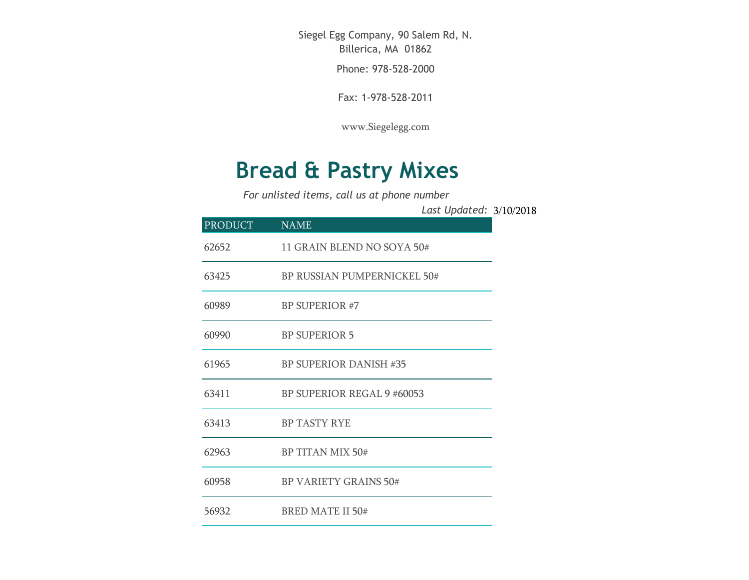Siegel Egg Company, 90 Salem Rd, N. Billerica, MA 01862

Phone: 978-528-2000

Fax: 1-978-528-2011

[www.Siegelegg.com](http://www.siegelegg.com/)

## **Bread & Pastry Mixes**

*For unlisted items, call us at phone number*

3/10/2018 *Last Updated:*

| <b>PRODUCT</b> | <b>NAME</b>                        |
|----------------|------------------------------------|
| 62652          | 11 GRAIN BLEND NO SOYA 50#         |
| 63425          | <b>BP RUSSIAN PUMPERNICKEL 50#</b> |
| 60989          | <b>BP SUPERIOR #7</b>              |
| 60990          | <b>BP SUPERIOR 5</b>               |
| 61965          | <b>BP SUPERIOR DANISH #35</b>      |
| 63411          | BP SUPERIOR REGAL 9 #60053         |
| 63413          | <b>BP TASTY RYE</b>                |
| 62963          | BP TITAN MIX 50#                   |
| 60958          | <b>BP VARIETY GRAINS 50#</b>       |
| 56932          | <b>BRED MATE II 50#</b>            |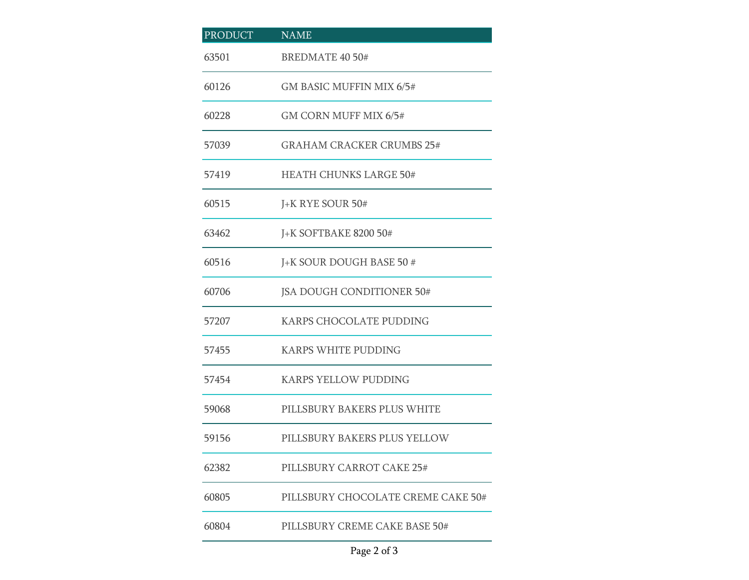| <b>PRODUCT</b> | <b>NAME</b>                        |  |
|----------------|------------------------------------|--|
| 63501          | <b>BREDMATE 40 50#</b>             |  |
| 60126          | GM BASIC MUFFIN MIX 6/5#           |  |
| 60228          | GM CORN MUFF MIX 6/5#              |  |
| 57039          | <b>GRAHAM CRACKER CRUMBS 25#</b>   |  |
| 57419          | <b>HEATH CHUNKS LARGE 50#</b>      |  |
| 60515          | J+K RYE SOUR 50#                   |  |
| 63462          | <b>J+K SOFTBAKE 8200 50#</b>       |  |
| 60516          | J+K SOUR DOUGH BASE 50 #           |  |
| 60706          | JSA DOUGH CONDITIONER 50#          |  |
| 57207          | KARPS CHOCOLATE PUDDING            |  |
| 57455          | <b>KARPS WHITE PUDDING</b>         |  |
| 57454          | <b>KARPS YELLOW PUDDING</b>        |  |
| 59068          | PILLSBURY BAKERS PLUS WHITE        |  |
| 59156          | PILLSBURY BAKERS PLUS YELLOW       |  |
| 62382          | PILLSBURY CARROT CAKE 25#          |  |
| 60805          | PILLSBURY CHOCOLATE CREME CAKE 50# |  |
| 60804          | PILLSBURY CREME CAKE BASE 50#      |  |